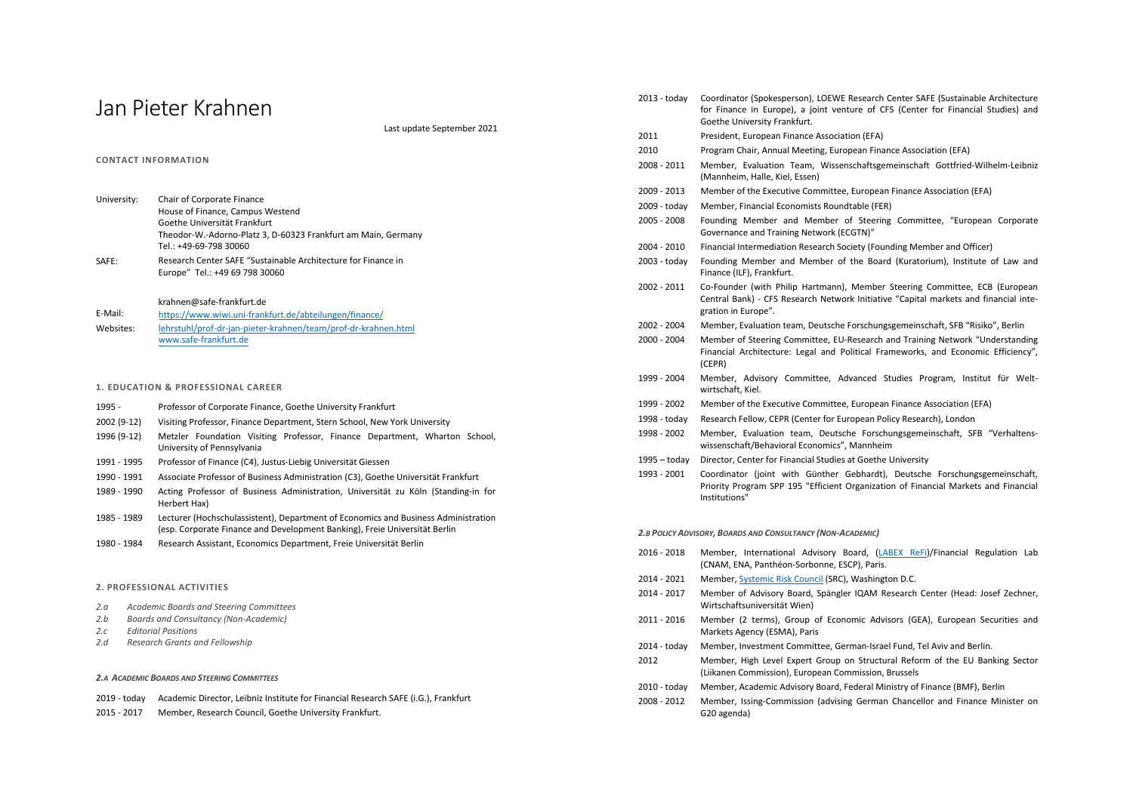# Jan Pieter Krahnen

Last update September 2021

## **CONTACT INFORMATION**

| University: | Chair of Corporate Finance                                    |
|-------------|---------------------------------------------------------------|
|             | House of Finance, Campus Westend                              |
|             | Goethe Universität Frankfurt                                  |
|             | Theodor-W.-Adorno-Platz 3, D-60323 Frankfurt am Main, Germany |
|             | Tel.: +49-69-798 30060                                        |
| SAFE:       | Research Center SAFE "Sustainable Architecture for Finance in |

Europe" Tel.: +49 69 798 30060

## krahnen@safe-frankfurt.de

E-Mail: Websites: https://www.wiwi.uni-frankfurt.de/abteilungen/finance/ lehrstuhl/prof-dr-jan-pieter-krahnen/team/prof-dr-krahnen.html www.safe-frankfurt.de

## **1. EDUCATION & PROFESSIONAL CAREER**

- 1995 Professor of Corporate Finance, Goethe University Frankfurt
- 2002 (9-12) Visiting Professor, Finance Department, Stern School, New York University
- 1996 (9-12) Metzler Foundation Visiting Professor, Finance Department, Wharton School, University of Pennsylvania
- 1991 1995 Professor of Finance (C4), Justus-Liebig Universität Giessen
- 1990 1991 Associate Professor of Business Administration (C3), Goethe Universität Frankfurt
- 1989 1990 Acting Professor of Business Administration, Universität zu Köln (Standing-in for Herbert Hax)
- 1985 1989 Lecturer (Hochschulassistent), Department of Economics and Business Administration (esp. Corporate Finance and Development Banking), Freie Universität Berlin
- 1980 1984 Research Assistant, Economics Department, Freie Universität Berlin

## **2. PROFESSIONAL ACTIVITIES**

- *2.a Academic Boards and Steering Committees*
- *2.b Boards and Consultancy (Non-Academic)*
- *2.c Editorial Positions*
- *2.d Research Grants and Fellowship*

## *2.A ACADEMIC BOARDS AND STEERING COMMITTEES*

- 2019 today Academic Director, Leibniz Institute for Financial Research SAFE (i.G.), Frankfurt
- 2015 2017 Member, Research Council, Goethe University Frankfurt.

| $2013 -$ today | Coordinator (Spokesperson), LOEWE Research Center SAFE (Sustainable Architecture<br>for Finance in Europe), a joint venture of CFS (Center for Financial Studies) and<br>Goethe University Frankfurt. |  |  |  |
|----------------|-------------------------------------------------------------------------------------------------------------------------------------------------------------------------------------------------------|--|--|--|
| 2011           | President, European Finance Association (EFA)                                                                                                                                                         |  |  |  |
| 2010           | Program Chair, Annual Meeting, European Finance Association (EFA)                                                                                                                                     |  |  |  |
| 2008 - 2011    | Member, Evaluation Team, Wissenschaftsgemeinschaft Gottfried-Wilhelm-Leibniz<br>(Mannheim, Halle, Kiel, Essen)                                                                                        |  |  |  |
| 2009 - 2013    | Member of the Executive Committee, European Finance Association (EFA)                                                                                                                                 |  |  |  |
| 2009 - today   | Member, Financial Economists Roundtable (FER)                                                                                                                                                         |  |  |  |
| 2005 - 2008    | Founding Member and Member of Steering Committee, "European Corporate<br>Governance and Training Network (ECGTN)"                                                                                     |  |  |  |
| $2004 - 2010$  | Financial Intermediation Research Society (Founding Member and Officer)                                                                                                                               |  |  |  |
| 2003 - today   | Founding Member and Member of the Board (Kuratorium), Institute of Law and<br>Finance (ILF), Frankfurt.                                                                                               |  |  |  |
| 2002 - 2011    | Co-Founder (with Philip Hartmann), Member Steering Committee, ECB (European<br>Central Bank) - CFS Research Network Initiative "Capital markets and financial inte-<br>gration in Europe".            |  |  |  |
| 2002 - 2004    | Member, Evaluation team, Deutsche Forschungsgemeinschaft, SFB "Risiko", Berlin                                                                                                                        |  |  |  |
| 2000 - 2004    | Member of Steering Committee, EU-Research and Training Network "Understanding<br>Financial Architecture: Legal and Political Frameworks, and Economic Efficiency",<br>(CEPR)                          |  |  |  |
| 1999 - 2004    | Member, Advisory Committee, Advanced Studies Program, Institut für Welt-<br>wirtschaft. Kiel.                                                                                                         |  |  |  |
| 1999 - 2002    | Member of the Executive Committee, European Finance Association (EFA)                                                                                                                                 |  |  |  |
| 1998 - today   | Research Fellow, CEPR (Center for European Policy Research), London                                                                                                                                   |  |  |  |
| 1998 - 2002    | Member, Evaluation team, Deutsche Forschungsgemeinschaft, SFB "Verhaltens-<br>wissenschaft/Behavioral Economics", Mannheim                                                                            |  |  |  |

- 1995 today Director, Center for Financial Studies at Goethe University
- 1993 2001 Coordinator (joint with Günther Gebhardt), Deutsche Forschungsgemeinschaft, Priority Program SPP 195 "Efficient Organization of Financial Markets and Financial Institutions"

## *2.B POLICY ADVISORY, BOARDS AND CONSULTANCY (NON-ACADEMIC)*

- 2016 2018 Member, International Advisory Board, (LABEX ReFi)/Financial Regulation Lab (CNAM, ENA, Panthéon-Sorbonne, ESCP), Paris.
- 2014 2021 Member, Systemic Risk Council (SRC), Washington D.C.
- 2014 2017 Member of Advisory Board, Spängler IQAM Research Center (Head: Josef Zechner, Wirtschaftsuniversität Wien)
- 2011 2016 Member (2 terms), Group of Economic Advisors (GEA), European Securities and Markets Agency (ESMA), Paris
- 2014 today Member, Investment Committee, German-Israel Fund, Tel Aviv and Berlin.
- 2012 Member, High Level Expert Group on Structural Reform of the EU Banking Sector (Liikanen Commission), European Commission, Brussels
- 2010 today Member, Academic Advisory Board, Federal Ministry of Finance (BMF), Berlin
- 2008 2012 Member, Issing-Commission (advising German Chancellor and Finance Minister on G20 agenda)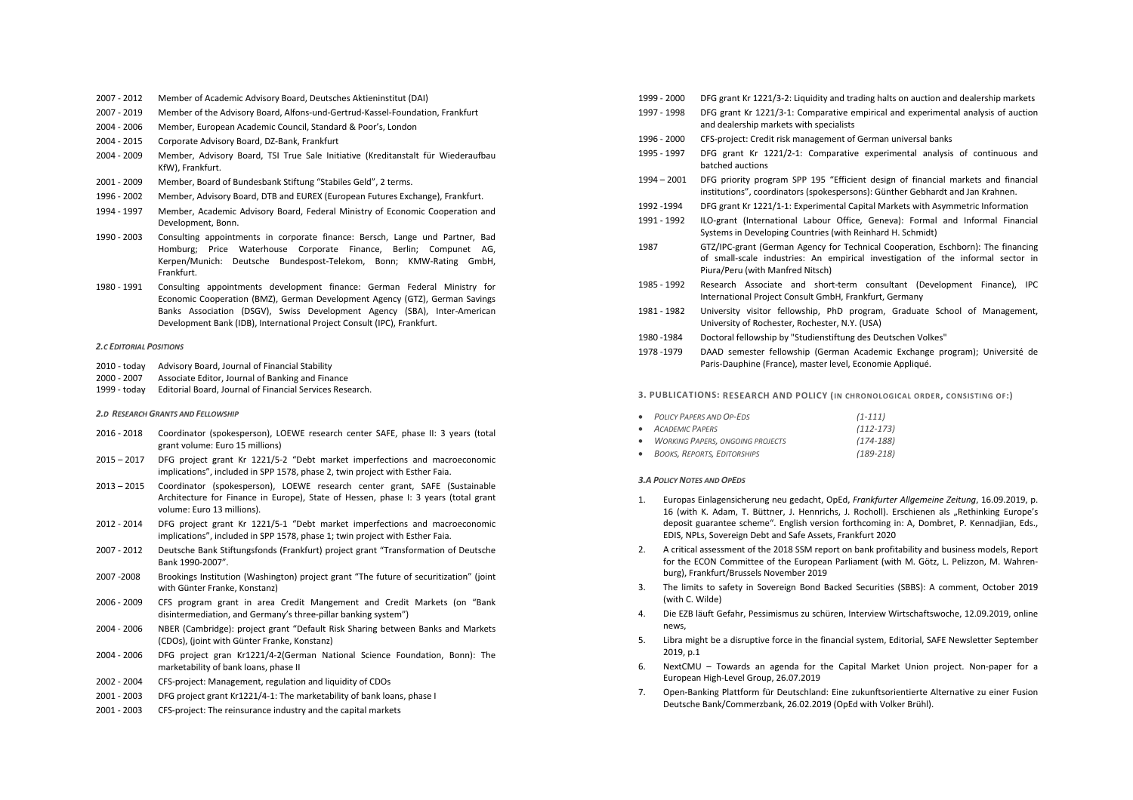- 2007 2012 Member of Academic Advisory Board, Deutsches Aktieninstitut (DAI)
- 2007 2019 Member of the Advisory Board, Alfons-und-Gertrud-Kassel-Foundation, Frankfurt
- 2004 2006 Member, European Academic Council, Standard & Poor's, London
- 2004 2015 Corporate Advisory Board, DZ-Bank, Frankfurt
- 2004 2009 Member, Advisory Board, TSI True Sale Initiative (Kreditanstalt für Wiederaufbau KfW), Frankfurt.
- 2001 2009 Member, Board of Bundesbank Stiftung "Stabiles Geld", 2 terms.
- 1996 2002 Member, Advisory Board, DTB and EUREX (European Futures Exchange), Frankfurt.
- 1994 1997 Member, Academic Advisory Board, Federal Ministry of Economic Cooperation and Development, Bonn.
- 1990 2003 Consulting appointments in corporate finance: Bersch, Lange und Partner, Bad Homburg; Price Waterhouse Corporate Finance, Berlin; Compunet AG, Kerpen/Munich: Deutsche Bundespost-Telekom, Bonn; KMW-Rating GmbH, Frankfurt.
- 1980 1991 Consulting appointments development finance: German Federal Ministry for Economic Cooperation (BMZ), German Development Agency (GTZ), German Savings Banks Association (DSGV), Swiss Development Agency (SBA), Inter-American Development Bank (IDB), International Project Consult (IPC), Frankfurt.

#### *2.C EDITORIAL POSITIONS*

- 2010 today Advisory Board, Journal of Financial Stability
- 2000 2007 Associate Editor, Journal of Banking and Finance
- 1999 today Editorial Board, Journal of Financial Services Research.

## *2.D RESEARCH GRANTS AND FELLOWSHIP*

- 2016 2018 Coordinator (spokesperson), LOEWE research center SAFE, phase II: 3 years (total grant volume: Euro 15 millions)
- 2015 2017 DFG project grant Kr 1221/5-2 "Debt market imperfections and macroeconomic implications", included in SPP 1578, phase 2, twin project with Esther Faia.
- 2013 2015 Coordinator (spokesperson), LOEWE research center grant, SAFE (Sustainable Architecture for Finance in Europe), State of Hessen, phase I: 3 years (total grant volume: Euro 13 millions).
- 2012 2014 DFG project grant Kr 1221/5-1 "Debt market imperfections and macroeconomic implications", included in SPP 1578, phase 1; twin project with Esther Faia.
- 2007 2012 Deutsche Bank Stiftungsfonds (Frankfurt) project grant "Transformation of Deutsche Bank 1990-2007".
- 2007 -2008 Brookings Institution (Washington) project grant "The future of securitization" (joint with Günter Franke, Konstanz)
- 2006 2009 CFS program grant in area Credit Mangement and Credit Markets (on "Bank disintermediation, and Germany's three-pillar banking system")
- 2004 2006 NBER (Cambridge): project grant "Default Risk Sharing between Banks and Markets (CDOs), (joint with Günter Franke, Konstanz)
- 2004 2006 DFG project gran Kr1221/4-2(German National Science Foundation, Bonn): The marketability of bank loans, phase II
- 2002 2004 CFS-project: Management, regulation and liquidity of CDOs
- 2001 2003 DFG project grant Kr1221/4-1: The marketability of bank loans, phase I
- 2001 2003 CFS-project: The reinsurance industry and the capital markets
- 1999 2000 DFG grant Kr 1221/3-2: Liquidity and trading halts on auction and dealership markets
- 1997 1998 DFG grant Kr 1221/3-1: Comparative empirical and experimental analysis of auction and dealership markets with specialists
- 1996 2000 CFS-project: Credit risk management of German universal banks
- 1995 1997 DFG grant Kr 1221/2-1: Comparative experimental analysis of continuous and batched auctions
- 1994 2001 DFG priority program SPP 195 "Efficient design of financial markets and financial institutions", coordinators (spokespersons): Günther Gebhardt and Jan Krahnen.
- 1992 -1994 DFG grant Kr 1221/1-1: Experimental Capital Markets with Asymmetric Information
- 1991 1992 ILO-grant (International Labour Office, Geneva): Formal and Informal Financial Systems in Developing Countries (with Reinhard H. Schmidt)
- 1987 GTZ/IPC-grant (German Agency for Technical Cooperation, Eschborn): The financing of small-scale industries: An empirical investigation of the informal sector in Piura/Peru (with Manfred Nitsch)
- 1985 1992 Research Associate and short-term consultant (Development Finance), IPC International Project Consult GmbH, Frankfurt, Germany
- 1981 1982 University visitor fellowship, PhD program, Graduate School of Management, University of Rochester, Rochester, N.Y. (USA)
- 1980 -1984 Doctoral fellowship by "Studienstiftung des Deutschen Volkes"
- 1978 -1979 DAAD semester fellowship (German Academic Exchange program); Université de Paris-Dauphine (France), master level, Economie Appliqué.

## **3. PUBLICATIONS: RESEARCH AND POLICY (IN CHRONOLOGICAL ORDER, CONSISTING OF:)**

| • POLICY PAPERS AND OP-EDS         | $(1-111)$     |
|------------------------------------|---------------|
| • ACADEMIC PAPERS                  | $(112 - 173)$ |
| • WORKING PAPERS, ONGOING PROJECTS | $(174-188)$   |
| • BOOKS REPORTS EDITORSHIPS        | $(189 - 218)$ |

#### *3.A POLICY NOTES AND OPEDS*

- 1. Europas Einlagensicherung neu gedacht, OpEd, *Frankfurter Allgemeine Zeitung*, 16.09.2019, p. 16 (with K. Adam, T. Büttner, J. Hennrichs, J. Rocholl). Erschienen als "Rethinking Europe's deposit guarantee scheme". English version forthcoming in: A, Dombret, P. Kennadjian, Eds., EDIS, NPLs, Sovereign Debt and Safe Assets, Frankfurt 2020
- 2. A critical assessment of the 2018 SSM report on bank profitability and business models, Report for the ECON Committee of the European Parliament (with M. Götz, L. Pelizzon, M. Wahrenburg), Frankfurt/Brussels November 2019
- 3. The limits to safety in Sovereign Bond Backed Securities (SBBS): A comment, October 2019 (with C. Wilde)
- 4. Die EZB läuft Gefahr, Pessimismus zu schüren, Interview Wirtschaftswoche, 12.09.2019, online news,
- 5. Libra might be a disruptive force in the financial system, Editorial, SAFE Newsletter September 2019, p.1
- 6. NextCMU Towards an agenda for the Capital Market Union project. Non-paper for a European High-Level Group, 26.07.2019
- 7. Open-Banking Plattform für Deutschland: Eine zukunftsorientierte Alternative zu einer Fusion Deutsche Bank/Commerzbank, 26.02.2019 (OpEd with Volker Brühl).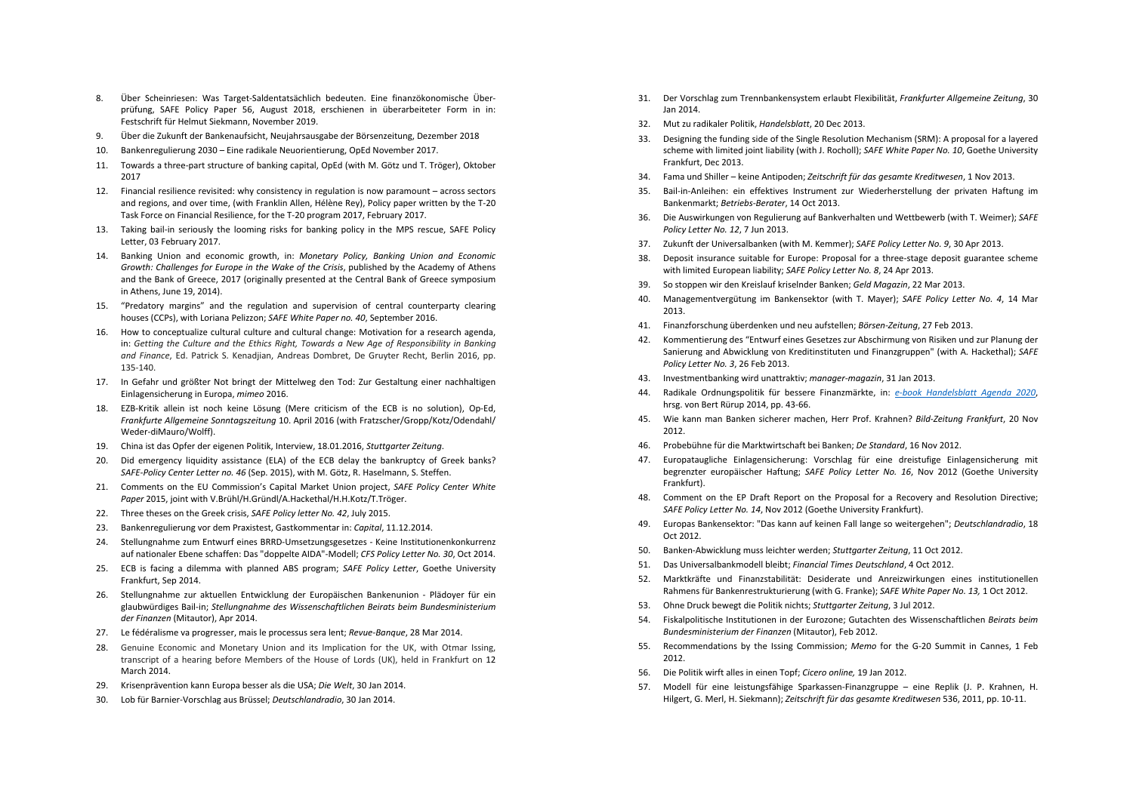- 8. Über Scheinriesen: Was Target-Saldentatsächlich bedeuten. Eine finanzökonomische Überprüfung, SAFE Policy Paper 56, August 2018, erschienen in überarbeiteter Form in in: Festschrift für Helmut Siekmann, November 2019.
- 9. Über die Zukunft der Bankenaufsicht, Neujahrsausgabe der Börsenzeitung, Dezember 2018
- 10. Bankenregulierung 2030 Eine radikale Neuorientierung, OpEd November 2017.
- 11. Towards a three-part structure of banking capital, OpEd (with M. Götz und T. Tröger), Oktober 2017
- 12. Financial resilience revisited: why consistency in regulation is now paramount across sectors and regions, and over time, (with Franklin Allen, Hélène Rey), Policy paper written by the T-20 Task Force on Financial Resilience, for the T-20 program 2017, February 2017.
- 13. Taking bail-in seriously the looming risks for banking policy in the MPS rescue, SAFE Policy Letter, 03 February 2017.
- 14. Banking Union and economic growth, in: *Monetary Policy, Banking Union and Economic Growth: Challenges for Europe in the Wake of the Crisis*, published by the Academy of Athens and the Bank of Greece, 2017 (originally presented at the Central Bank of Greece symposium in Athens, June 19, 2014).
- 15. "Predatory margins" and the regulation and supervision of central counterparty clearing houses (CCPs), with Loriana Pelizzon; *SAFE White Paper no. 40*, September 2016.
- 16. How to conceptualize cultural culture and cultural change: Motivation for a research agenda, in: *Getting the Culture and the Ethics Right, Towards a New Age of Responsibility in Banking and Finance*, Ed. Patrick S. Kenadjian, Andreas Dombret, De Gruyter Recht, Berlin 2016, pp. 135-140.
- 17. In Gefahr und größter Not bringt der Mittelweg den Tod: Zur Gestaltung einer nachhaltigen Einlagensicherung in Europa, *mimeo* 2016.
- 18. EZB-Kritik allein ist noch keine Lösung (Mere criticism of the ECB is no solution), Op-Ed, *Frankfurte Allgemeine Sonntagszeitung* 10. April 2016 (with Fratzscher/Gropp/Kotz/Odendahl/ Weder-diMauro/Wolff).
- 19. China ist das Opfer der eigenen Politik, Interview, 18.01.2016, *Stuttgarter Zeitung*.
- 20. Did emergency liquidity assistance (ELA) of the ECB delay the bankruptcy of Greek banks? *SAFE-Policy Center Letter no. 46* (Sep. 2015), with M. Götz, R. Haselmann, S. Steffen.
- 21. Comments on the EU Commission's Capital Market Union project, *SAFE Policy Center White Paper* 2015, joint with V.Brühl/H.Gründl/A.Hackethal/H.H.Kotz/T.Tröger.
- 22. Three theses on the Greek crisis, *SAFE Policy letter No. 42*, July 2015.
- 23. Bankenregulierung vor dem Praxistest, Gastkommentar in: *Capital*, 11.12.2014.
- 24. Stellungnahme zum Entwurf eines BRRD-Umsetzungsgesetzes Keine Institutionenkonkurrenz auf nationaler Ebene schaffen: Das "doppelte AIDA"-Modell; *CFS Policy Letter No. 30*, Oct 2014.
- 25. ECB is facing a dilemma with planned ABS program; *SAFE Policy Letter*, Goethe University Frankfurt, Sep 2014.
- 26. Stellungnahme zur aktuellen Entwicklung der Europäischen Bankenunion Plädoyer für ein glaubwürdiges Bail-in; *Stellungnahme des Wissenschaftlichen Beirats beim Bundesministerium der Finanzen* (Mitautor), Apr 2014.
- 27. Le fédéralisme va progresser, mais le processus sera lent; *Revue-Banque*, 28 Mar 2014.
- 28. Genuine Economic and Monetary Union and its Implication for the UK, with Otmar Issing, transcript of a hearing before Members of the House of Lords (UK), held in Frankfurt on 12 March 2014.
- 29. Krisenprävention kann Europa besser als die USA; *Die Welt*, 30 Jan 2014.
- 30. Lob für Barnier-Vorschlag aus Brüssel; *Deutschlandradio*, 30 Jan 2014.
- 31. Der Vorschlag zum Trennbankensystem erlaubt Flexibilität, *Frankfurter Allgemeine Zeitung*, 30 Jan 2014.
- 32. Mut zu radikaler Politik, *Handelsblatt*, 20 Dec 2013.
- 33. Designing the funding side of the Single Resolution Mechanism (SRM): A proposal for a layered scheme with limited joint liability (with J. Rocholl); *SAFE White Paper No. 10*, Goethe University Frankfurt, Dec 2013.
- 34. Fama und Shiller keine Antipoden; *Zeitschrift für das gesamte Kreditwesen*, 1 Nov 2013.
- 35. Bail-in-Anleihen: ein effektives Instrument zur Wiederherstellung der privaten Haftung im Bankenmarkt; *Betriebs-Berater*, 14 Oct 2013.
- 36. Die Auswirkungen von Regulierung auf Bankverhalten und Wettbewerb (with T. Weimer); *SAFE Policy Letter No. 12*, 7 Jun 2013.
- 37. Zukunft der Universalbanken (with M. Kemmer); *SAFE Policy Letter No. 9*, 30 Apr 2013.
- 38. Deposit insurance suitable for Europe: Proposal for a three-stage deposit guarantee scheme with limited European liability; *SAFE Policy Letter No. 8*, 24 Apr 2013.
- 39. So stoppen wir den Kreislauf kriselnder Banken; *Geld Magazin*, 22 Mar 2013.
- 40. Managementvergütung im Bankensektor (with T. Mayer); *SAFE Policy Letter No. 4*, 14 Mar 2013.
- 41. Finanzforschung überdenken und neu aufstellen; *Börsen-Zeitung*, 27 Feb 2013.
- 42. Kommentierung des "Entwurf eines Gesetzes zur Abschirmung von Risiken und zur Planung der Sanierung and Abwicklung von Kreditinstituten und Finanzgruppen" (with A. Hackethal); *SAFE Policy Letter No. 3*, 26 Feb 2013.
- 43. Investmentbanking wird unattraktiv; *manager-magazin*, 31 Jan 2013.
- 44. Radikale Ordnungspolitik für bessere Finanzmärkte, in: *e-book Handelsblatt Agenda 2020*, hrsg. von Bert Rürup 2014, pp. 43-66.
- 45. Wie kann man Banken sicherer machen, Herr Prof. Krahnen? *Bild-Zeitung Frankfurt*, 20 Nov 2012.
- 46. Probebühne für die Marktwirtschaft bei Banken; *De Standard*, 16 Nov 2012.
- 47. Europataugliche Einlagensicherung: Vorschlag für eine dreistufige Einlagensicherung mit begrenzter europäischer Haftung; *SAFE Policy Letter No. 16*, Nov 2012 (Goethe University Frankfurt).
- 48. Comment on the EP Draft Report on the Proposal for a Recovery and Resolution Directive; *SAFE Policy Letter No. 14*, Nov 2012 (Goethe University Frankfurt).
- 49. Europas Bankensektor: "Das kann auf keinen Fall lange so weitergehen"; *Deutschlandradio*, 18 Oct 2012.
- 50. Banken-Abwicklung muss leichter werden; *Stuttgarter Zeitung*, 11 Oct 2012.
- 51. Das Universalbankmodell bleibt; *Financial Times Deutschland*, 4 Oct 2012.
- 52. Marktkräfte und Finanzstabilität: Desiderate und Anreizwirkungen eines institutionellen Rahmens für Bankenrestrukturierung (with G. Franke); *SAFE White Paper No. 13,* 1 Oct 2012.
- 53. Ohne Druck bewegt die Politik nichts; *Stuttgarter Zeitung*, 3 Jul 2012.
- 54. Fiskalpolitische Institutionen in der Eurozone; Gutachten des Wissenschaftlichen *Beirats beim Bundesministerium der Finanzen* (Mitautor), Feb 2012.
- 55. Recommendations by the Issing Commission; *Memo* for the G-20 Summit in Cannes, 1 Feb 2012.
- 56. Die Politik wirft alles in einen Topf; *Cicero online,* 19 Jan 2012.
- 57. Modell für eine leistungsfähige Sparkassen-Finanzgruppe eine Replik (J. P. Krahnen, H. Hilgert, G. Merl, H. Siekmann); *Zeitschrift für das gesamte Kreditwesen* 536, 2011, pp. 10-11.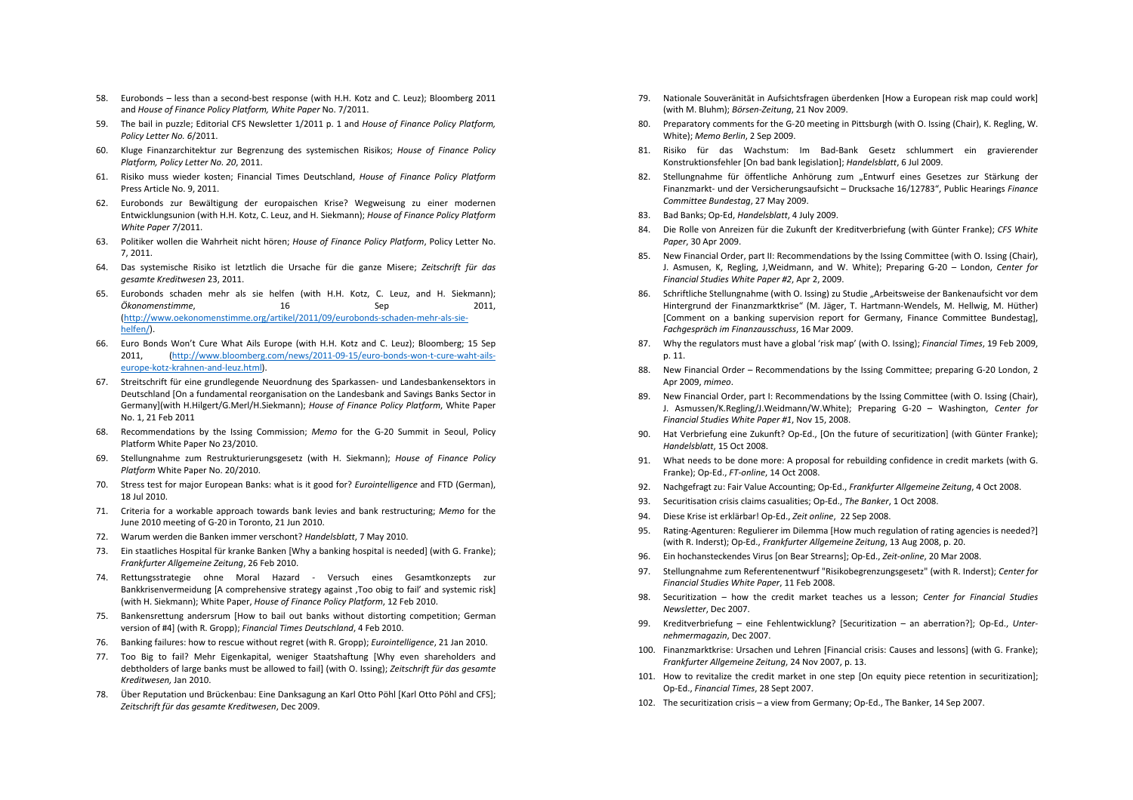- 58. Eurobonds less than a second-best response (with H.H. Kotz and C. Leuz); Bloomberg 2011 and *House of Finance Policy Platform, White Paper* No. 7/2011.
- 59. The bail in puzzle; Editorial CFS Newsletter 1/2011 p. 1 and *House of Finance Policy Platform, Policy Letter No. 6*/2011.
- 60. Kluge Finanzarchitektur zur Begrenzung des systemischen Risikos; *House of Finance Policy Platform, Policy Letter No. 20*, 2011.
- 61. Risiko muss wieder kosten; Financial Times Deutschland, *House of Finance Policy Platform* Press Article No. 9, 2011.
- 62. Eurobonds zur Bewältigung der europaischen Krise? Wegweisung zu einer modernen Entwicklungsunion (with H.H. Kotz, C. Leuz, and H. Siekmann); *House of Finance Policy Platform White Paper 7*/2011.
- 63. Politiker wollen die Wahrheit nicht hören; *House of Finance Policy Platform*, Policy Letter No. 7, 2011.
- 64. Das systemische Risiko ist letztlich die Ursache für die ganze Misere; *Zeitschrift für das gesamte Kreditwesen* 23, 2011.
- 65. Eurobonds schaden mehr als sie helfen (with H.H. Kotz, C. Leuz, and H. Siekmann); *Ökonomenstimme*, 16 Sep 2011, (http://www.oekonomenstimme.org/artikel/2011/09/eurobonds-schaden-mehr-als-siehelfen/).
- 66. Euro Bonds Won't Cure What Ails Europe (with H.H. Kotz and C. Leuz); Bloomberg; 15 Sep 2011, (http://www.bloomberg.com/news/2011-09-15/euro-bonds-won-t-cure-waht-ailseurope-kotz-krahnen-and-leuz.html).
- 67. Streitschrift für eine grundlegende Neuordnung des Sparkassen- und Landesbankensektors in Deutschland [On a fundamental reorganisation on the Landesbank and Savings Banks Sector in Germany](with H.Hilgert/G.Merl/H.Siekmann); *House of Finance Policy Platform*, White Paper No. 1, 21 Feb 2011
- 68. Recommendations by the Issing Commission; *Memo* for the G-20 Summit in Seoul, Policy Platform White Paper No 23/2010.
- 69. Stellungnahme zum Restrukturierungsgesetz (with H. Siekmann); *House of Finance Policy Platform* White Paper No. 20/2010.
- 70. Stress test for major European Banks: what is it good for? *Eurointelligence* and FTD (German), 18 Jul 2010.
- 71. Criteria for a workable approach towards bank levies and bank restructuring; *Memo* for the June 2010 meeting of G-20 in Toronto, 21 Jun 2010.
- 72. Warum werden die Banken immer verschont? *Handelsblatt*, 7 May 2010.
- 73. Ein staatliches Hospital für kranke Banken [Why a banking hospital is needed] (with G. Franke); *Frankfurter Allgemeine Zeitung*, 26 Feb 2010.
- 74. Rettungsstrategie ohne Moral Hazard Versuch eines Gesamtkonzepts zur Bankkrisenvermeidung [A comprehensive strategy against , Too obig to fail' and systemic risk] (with H. Siekmann); White Paper, *House of Finance Policy Platform*, 12 Feb 2010.
- 75. Bankensrettung andersrum [How to bail out banks without distorting competition; German version of #4] (with R. Gropp); *Financial Times Deutschland*, 4 Feb 2010.
- 76. Banking failures: how to rescue without regret (with R. Gropp); *Eurointelligence*, 21 Jan 2010.
- 77. Too Big to fail? Mehr Eigenkapital, weniger Staatshaftung [Why even shareholders and debtholders of large banks must be allowed to fail] (with O. Issing); *Zeitschrift für das gesamte Kreditwesen,* Jan 2010.
- 78. Über Reputation und Brückenbau: Eine Danksagung an Karl Otto Pöhl [Karl Otto Pöhl and CFS]; *Zeitschrift für das gesamte Kreditwesen*, Dec 2009.
- 79. Nationale Souveränität in Aufsichtsfragen überdenken [How a European risk map could work] (with M. Bluhm); *Börsen-Zeitung*, 21 Nov 2009.
- 80. Preparatory comments for the G-20 meeting in Pittsburgh (with O. Issing (Chair), K. Regling, W. White); *Memo Berlin*, 2 Sep 2009.
- 81. Risiko für das Wachstum: Im Bad-Bank Gesetz schlummert ein gravierender Konstruktionsfehler [On bad bank legislation]; *Handelsblatt*, 6 Jul 2009.
- 82. Stellungnahme für öffentliche Anhörung zum "Entwurf eines Gesetzes zur Stärkung der Finanzmarkt- und der Versicherungsaufsicht – Drucksache 16/12783", Public Hearings *Finance Committee Bundestag*, 27 May 2009.
- 83. Bad Banks; Op-Ed, *Handelsblatt*, 4 July 2009.
- 84. Die Rolle von Anreizen für die Zukunft der Kreditverbriefung (with Günter Franke); *CFS White Paper*, 30 Apr 2009.
- 85. New Financial Order, part II: Recommendations by the Issing Committee (with O. Issing (Chair), J. Asmusen, K, Regling, J,Weidmann, and W. White); Preparing G-20 – London, *Center for Financial Studies White Paper #2*, Apr 2, 2009.
- 86. Schriftliche Stellungnahme (with O. Issing) zu Studie "Arbeitsweise der Bankenaufsicht vor dem Hintergrund der Finanzmarktkrise" (M. Jäger, T. Hartmann-Wendels, M. Hellwig, M. Hüther) [Comment on a banking supervision report for Germany, Finance Committee Bundestag] *Fachgespräch im Finanzausschuss*, 16 Mar 2009.
- 87. Why the regulators must have a global 'risk map' (with O. Issing); *Financial Times*, 19 Feb 2009, p. 11.
- 88. New Financial Order Recommendations by the Issing Committee; preparing G-20 London, 2 Apr 2009, *mimeo*.
- 89. New Financial Order, part I: Recommendations by the Issing Committee (with O. Issing (Chair), J. Asmussen/K.Regling/J.Weidmann/W.White); Preparing G-20 – Washington, *Center for Financial Studies White Paper #1*, Nov 15, 2008.
- 90. Hat Verbriefung eine Zukunft? Op-Ed., [On the future of securitization] (with Günter Franke); *Handelsblatt*, 15 Oct 2008.
- 91. What needs to be done more: A proposal for rebuilding confidence in credit markets (with G. Franke); Op-Ed., *FT-online*, 14 Oct 2008.
- 92. Nachgefragt zu: Fair Value Accounting; Op-Ed., *Frankfurter Allgemeine Zeitung*, 4 Oct 2008.
- 93. Securitisation crisis claims casualities; Op-Ed., *The Banker*, 1 Oct 2008.
- 94. Diese Krise ist erklärbar! Op-Ed., *Zeit online*, 22 Sep 2008.
- 95. Rating-Agenturen: Regulierer im Dilemma [How much regulation of rating agencies is needed?] (with R. Inderst); Op-Ed., *Frankfurter Allgemeine Zeitung*, 13 Aug 2008, p. 20.
- 96. Ein hochansteckendes Virus [on Bear Strearns]; Op-Ed., *Zeit-online*, 20 Mar 2008.
- 97. Stellungnahme zum Referentenentwurf "Risikobegrenzungsgesetz" (with R. Inderst); *Center for Financial Studies White Paper*, 11 Feb 2008.
- 98. Securitization how the credit market teaches us a lesson; *Center for Financial Studies Newsletter*, Dec 2007.
- 99. Kreditverbriefung eine Fehlentwicklung? [Securitization an aberration?]; Op-Ed., *Unternehmermagazin*, Dec 2007.
- 100. Finanzmarktkrise: Ursachen und Lehren [Financial crisis: Causes and lessons] (with G. Franke); *Frankfurter Allgemeine Zeitung*, 24 Nov 2007, p. 13.
- 101. How to revitalize the credit market in one step [On equity piece retention in securitization]; Op-Ed., *Financial Times*, 28 Sept 2007.
- 102. The securitization crisis a view from Germany; Op-Ed., The Banker, 14 Sep 2007.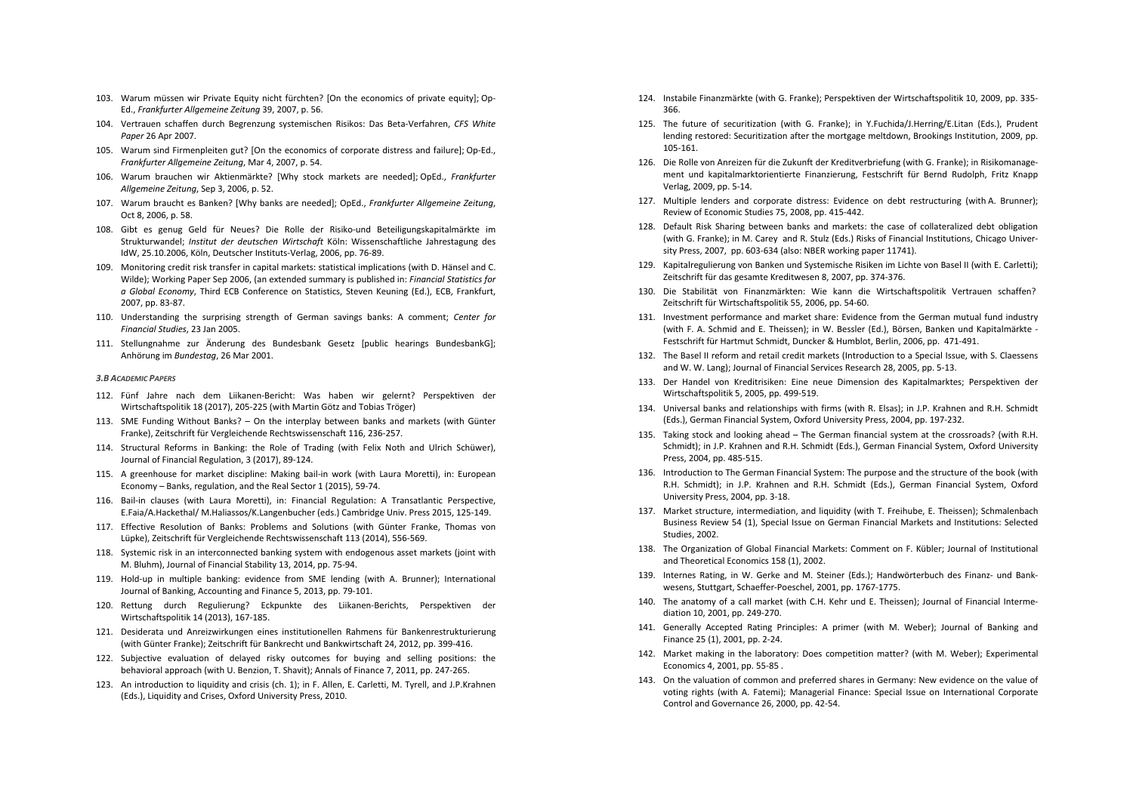- 103. Warum müssen wir Private Equity nicht fürchten? [On the economics of private equity]; Op-Ed., *Frankfurter Allgemeine Zeitung* 39, 2007, p. 56.
- 104. Vertrauen schaffen durch Begrenzung systemischen Risikos: Das Beta-Verfahren, *CFS White Paper* 26 Apr 2007.
- 105. Warum sind Firmenpleiten gut? [On the economics of corporate distress and failure]; Op-Ed., *Frankfurter Allgemeine Zeitung*, Mar 4, 2007, p. 54.
- 106. Warum brauchen wir Aktienmärkte? [Why stock markets are needed]; OpEd., *Frankfurter Allgemeine Zeitung*, Sep 3, 2006, p. 52.
- 107. Warum braucht es Banken? [Why banks are needed]; OpEd., *Frankfurter Allgemeine Zeitung*, Oct 8, 2006, p. 58.
- 108. Gibt es genug Geld für Neues? Die Rolle der Risiko-und Beteiligungskapitalmärkte im Strukturwandel; *Institut der deutschen Wirtschaft* Köln: Wissenschaftliche Jahrestagung des IdW, 25.10.2006, Köln, Deutscher Instituts-Verlag, 2006, pp. 76-89.
- 109. Monitoring credit risk transfer in capital markets: statistical implications (with D. Hänsel and C. Wilde); Working Paper Sep 2006, (an extended summary is published in: *Financial Statistics for a Global Economy*, Third ECB Conference on Statistics, Steven Keuning (Ed.), ECB, Frankfurt, 2007, pp. 83-87.
- 110. Understanding the surprising strength of German savings banks: A comment; *Center for Financial Studies*, 23 Jan 2005.
- 111. Stellungnahme zur Änderung des Bundesbank Gesetz [public hearings BundesbankG]; Anhörung im *Bundestag*, 26 Mar 2001.

## *3.B ACADEMIC PAPERS*

- 112. Fünf Jahre nach dem Liikanen-Bericht: Was haben wir gelernt? Perspektiven der Wirtschaftspolitik 18 (2017), 205-225 (with Martin Götz and Tobias Tröger)
- 113. SME Funding Without Banks? On the interplay between banks and markets (with Günter Franke), Zeitschrift für Vergleichende Rechtswissenschaft 116, 236-257.
- 114. Structural Reforms in Banking: the Role of Trading (with Felix Noth and Ulrich Schüwer), Journal of Financial Regulation, 3 (2017), 89-124.
- 115. A greenhouse for market discipline: Making bail-in work (with Laura Moretti), in: European Economy – Banks, regulation, and the Real Sector 1 (2015), 59-74.
- 116. Bail-in clauses (with Laura Moretti), in: Financial Regulation: A Transatlantic Perspective, E.Faia/A.Hackethal/ M.Haliassos/K.Langenbucher (eds.) Cambridge Univ. Press 2015, 125-149.
- 117. Effective Resolution of Banks: Problems and Solutions (with Günter Franke, Thomas von Lüpke), Zeitschrift für Vergleichende Rechtswissenschaft 113 (2014), 556-569.
- 118. Systemic risk in an interconnected banking system with endogenous asset markets (joint with M. Bluhm), Journal of Financial Stability 13, 2014, pp. 75-94.
- 119. Hold-up in multiple banking: evidence from SME lending (with A. Brunner); International Journal of Banking, Accounting and Finance 5, 2013, pp. 79-101.
- 120. Rettung durch Regulierung? Eckpunkte des Liikanen-Berichts, Perspektiven der Wirtschaftspolitik 14 (2013), 167-185.
- 121. Desiderata und Anreizwirkungen eines institutionellen Rahmens für Bankenrestrukturierung (with Günter Franke); Zeitschrift für Bankrecht und Bankwirtschaft 24, 2012, pp. 399-416.
- 122. Subjective evaluation of delayed risky outcomes for buying and selling positions: the behavioral approach (with U. Benzion, T. Shavit); Annals of Finance 7, 2011, pp. 247-265.
- 123. An introduction to liquidity and crisis (ch. 1); in F. Allen, E. Carletti, M. Tyrell, and J.P.Krahnen (Eds.), Liquidity and Crises, Oxford University Press, 2010.
- 124. Instabile Finanzmärkte (with G. Franke); Perspektiven der Wirtschaftspolitik 10, 2009, pp. 335- 366.
- 125. The future of securitization (with G. Franke); in Y.Fuchida/J.Herring/E.Litan (Eds.), Prudent lending restored: Securitization after the mortgage meltdown, Brookings Institution, 2009, pp. 105-161.
- 126. Die Rolle von Anreizen für die Zukunft der Kreditverbriefung (with G. Franke); in Risikomanagement und kapitalmarktorientierte Finanzierung, Festschrift für Bernd Rudolph, Fritz Knapp Verlag, 2009, pp. 5-14.
- 127. Multiple lenders and corporate distress: Evidence on debt restructuring (with A. Brunner); Review of Economic Studies 75, 2008, pp. 415-442.
- 128. Default Risk Sharing between banks and markets: the case of collateralized debt obligation (with G. Franke); in M. Carey and R. Stulz (Eds.) Risks of Financial Institutions, Chicago University Press, 2007, pp. 603-634 (also: NBER working paper 11741).
- 129. Kapitalregulierung von Banken und Systemische Risiken im Lichte von Basel II (with E. Carletti); Zeitschrift für das gesamte Kreditwesen 8, 2007, pp. 374-376.
- 130. Die Stabilität von Finanzmärkten: Wie kann die Wirtschaftspolitik Vertrauen schaffen? Zeitschrift für Wirtschaftspolitik 55, 2006, pp. 54-60.
- 131. Investment performance and market share: Evidence from the German mutual fund industry (with F. A. Schmid and E. Theissen); in W. Bessler (Ed.), Börsen, Banken und Kapitalmärkte - Festschrift für Hartmut Schmidt, Duncker & Humblot, Berlin, 2006, pp. 471-491.
- 132. The Basel II reform and retail credit markets (Introduction to a Special Issue, with S. Claessens and W. W. Lang); Journal of Financial Services Research 28, 2005, pp. 5-13.
- 133. Der Handel von Kreditrisiken: Eine neue Dimension des Kapitalmarktes; Perspektiven der Wirtschaftspolitik 5, 2005, pp. 499-519.
- 134. Universal banks and relationships with firms (with R. Elsas); in J.P. Krahnen and R.H. Schmidt (Eds.), German Financial System, Oxford University Press, 2004, pp. 197-232.
- 135. Taking stock and looking ahead The German financial system at the crossroads? (with R.H. Schmidt); in J.P. Krahnen and R.H. Schmidt (Eds.), German Financial System, Oxford University Press, 2004, pp. 485-515.
- 136. Introduction to The German Financial System: The purpose and the structure of the book (with R.H. Schmidt); in J.P. Krahnen and R.H. Schmidt (Eds.), German Financial System, Oxford University Press, 2004, pp. 3-18.
- 137. Market structure, intermediation, and liquidity (with T. Freihube, E. Theissen); Schmalenbach Business Review 54 (1), Special Issue on German Financial Markets and Institutions: Selected Studies, 2002.
- 138. The Organization of Global Financial Markets: Comment on F. Kübler; Journal of Institutional and Theoretical Economics 158 (1), 2002.
- 139. Internes Rating, in W. Gerke and M. Steiner (Eds.); Handwörterbuch des Finanz- und Bankwesens, Stuttgart, Schaeffer-Poeschel, 2001, pp. 1767-1775.
- 140. The anatomy of a call market (with C.H. Kehr und E. Theissen); Journal of Financial Intermediation 10, 2001, pp. 249-270.
- 141. Generally Accepted Rating Principles: A primer (with M. Weber); Journal of Banking and Finance 25 (1), 2001, pp. 2-24.
- 142. Market making in the laboratory: Does competition matter? (with M. Weber); Experimental Economics 4, 2001, pp. 55-85 .
- 143. On the valuation of common and preferred shares in Germany: New evidence on the value of voting rights (with A. Fatemi); Managerial Finance: Special Issue on International Corporate Control and Governance 26, 2000, pp. 42-54.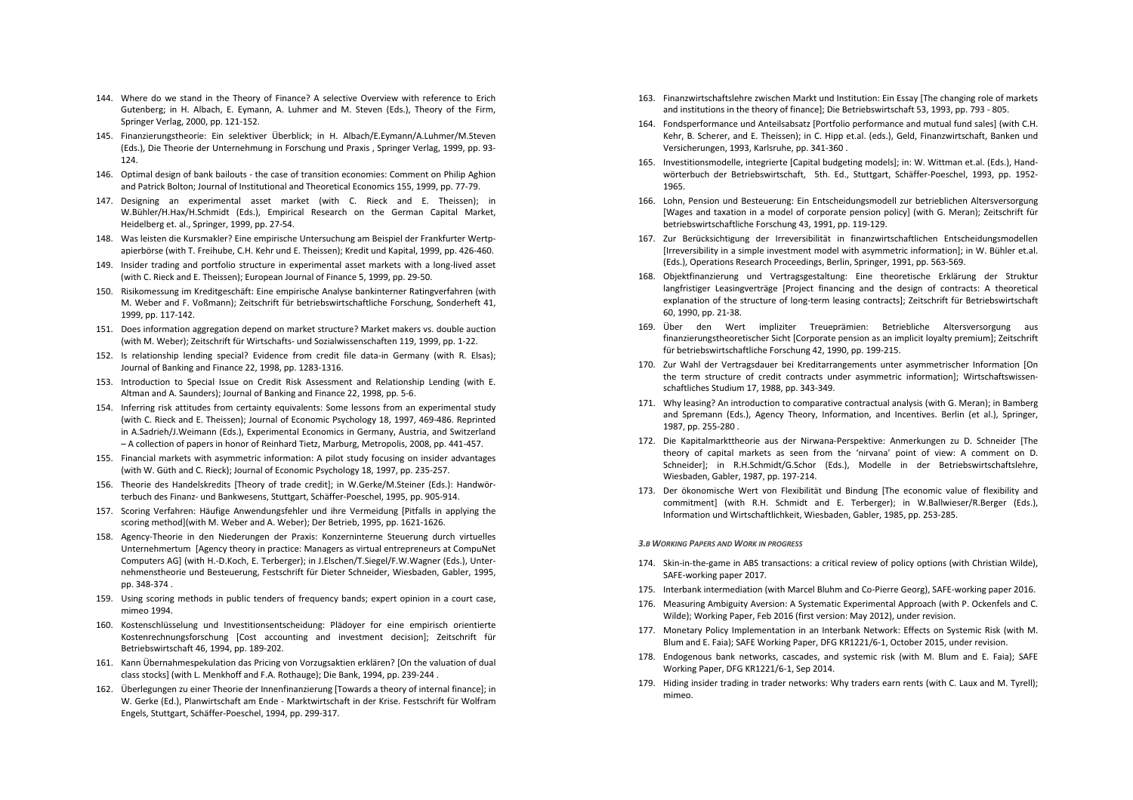- 144. Where do we stand in the Theory of Finance? A selective Overview with reference to Erich Gutenberg; in H. Albach, E. Eymann, A. Luhmer and M. Steven (Eds.), Theory of the Firm, Springer Verlag, 2000, pp. 121-152.
- 145. Finanzierungstheorie: Ein selektiver Überblick; in H. Albach/E.Eymann/A.Luhmer/M.Steven (Eds.), Die Theorie der Unternehmung in Forschung und Praxis , Springer Verlag, 1999, pp. 93- 124.
- 146. Optimal design of bank bailouts the case of transition economies: Comment on Philip Aghion and Patrick Bolton; Journal of Institutional and Theoretical Economics 155, 1999, pp. 77-79.
- 147. Designing an experimental asset market (with C. Rieck and E. Theissen); in W.Bühler/H.Hax/H.Schmidt (Eds.), Empirical Research on the German Capital Market, Heidelberg et. al., Springer, 1999, pp. 27-54.
- 148. Was leisten die Kursmakler? Eine empirische Untersuchung am Beispiel der Frankfurter Wertpapierbörse (with T. Freihube, C.H. Kehr und E. Theissen); Kredit und Kapital, 1999, pp. 426-460.
- 149. Insider trading and portfolio structure in experimental asset markets with a long-lived asset (with C. Rieck and E. Theissen); European Journal of Finance 5, 1999, pp. 29-50.
- 150. Risikomessung im Kreditgeschäft: Eine empirische Analyse bankinterner Ratingverfahren (with M. Weber and F. Voßmann); Zeitschrift für betriebswirtschaftliche Forschung, Sonderheft 41, 1999, pp. 117-142.
- 151. Does information aggregation depend on market structure? Market makers vs. double auction (with M. Weber); Zeitschrift für Wirtschafts- und Sozialwissenschaften 119, 1999, pp. 1-22.
- 152. Is relationship lending special? Evidence from credit file data-in Germany (with R. Elsas); Journal of Banking and Finance 22, 1998, pp. 1283-1316.
- 153. Introduction to Special Issue on Credit Risk Assessment and Relationship Lending (with E. Altman and A. Saunders); Journal of Banking and Finance 22, 1998, pp. 5-6.
- 154. Inferring risk attitudes from certainty equivalents: Some lessons from an experimental study (with C. Rieck and E. Theissen); Journal of Economic Psychology 18, 1997, 469-486. Reprinted in A.Sadrieh/J.Weimann (Eds.), Experimental Economics in Germany, Austria, and Switzerland – A collection of papers in honor of Reinhard Tietz, Marburg, Metropolis, 2008, pp. 441-457.
- 155. Financial markets with asymmetric information: A pilot study focusing on insider advantages (with W. Güth and C. Rieck); Journal of Economic Psychology 18, 1997, pp. 235-257.
- 156. Theorie des Handelskredits [Theory of trade credit]; in W.Gerke/M.Steiner (Eds.): Handwörterbuch des Finanz- und Bankwesens, Stuttgart, Schäffer-Poeschel, 1995, pp. 905-914.
- 157. Scoring Verfahren: Häufige Anwendungsfehler und ihre Vermeidung [Pitfalls in applying the scoring method](with M. Weber and A. Weber); Der Betrieb, 1995, pp. 1621-1626.
- 158. Agency-Theorie in den Niederungen der Praxis: Konzerninterne Steuerung durch virtuelles Unternehmertum [Agency theory in practice: Managers as virtual entrepreneurs at CompuNet Computers AG] (with H.-D.Koch, E. Terberger); in J.Elschen/T.Siegel/F.W.Wagner (Eds.), Unternehmenstheorie und Besteuerung, Festschrift für Dieter Schneider, Wiesbaden, Gabler, 1995, pp. 348-374 .
- 159. Using scoring methods in public tenders of frequency bands; expert opinion in a court case, mimeo 1994.
- 160. Kostenschlüsselung und Investitionsentscheidung: Plädoyer for eine empirisch orientierte Kostenrechnungsforschung [Cost accounting and investment decision]; Zeitschrift für Betriebswirtschaft 46, 1994, pp. 189-202.
- 161. Kann Übernahmespekulation das Pricing von Vorzugsaktien erklären? [On the valuation of dual class stocks] (with L. Menkhoff and F.A. Rothauge); Die Bank, 1994, pp. 239-244 .
- 162. Überlegungen zu einer Theorie der Innenfinanzierung [Towards a theory of internal finance]; in W. Gerke (Ed.), Planwirtschaft am Ende - Marktwirtschaft in der Krise. Festschrift für Wolfram Engels, Stuttgart, Schäffer-Poeschel, 1994, pp. 299-317.
- 163. Finanzwirtschaftslehre zwischen Markt und Institution: Ein Essay [The changing role of markets and institutions in the theory of finance]; Die Betriebswirtschaft 53, 1993, pp. 793 - 805.
- 164. Fondsperformance und Anteilsabsatz [Portfolio performance and mutual fund sales] (with C.H. Kehr, B. Scherer, and E. Theissen); in C. Hipp et.al. (eds.), Geld, Finanzwirtschaft, Banken und Versicherungen, 1993, Karlsruhe, pp. 341-360 .
- 165. Investitionsmodelle, integrierte [Capital budgeting models]; in: W. Wittman et.al. (Eds.), Handwörterbuch der Betriebswirtschaft, 5th. Ed., Stuttgart, Schäffer-Poeschel, 1993, pp. 1952- 1965.
- 166. Lohn, Pension und Besteuerung: Ein Entscheidungsmodell zur betrieblichen Altersversorgung [Wages and taxation in a model of corporate pension policy] (with G. Meran); Zeitschrift für betriebswirtschaftliche Forschung 43, 1991, pp. 119-129.
- 167. Zur Berücksichtigung der Irreversibilität in finanzwirtschaftlichen Entscheidungsmodellen [Irreversibility in a simple investment model with asymmetric information]; in W. Bühler et.al. (Eds.), Operations Research Proceedings, Berlin, Springer, 1991, pp. 563-569.
- 168. Objektfinanzierung und Vertragsgestaltung: Eine theoretische Erklärung der Struktur langfristiger Leasingverträge [Project financing and the design of contracts: A theoretical explanation of the structure of long-term leasing contracts]; Zeitschrift für Betriebswirtschaft 60, 1990, pp. 21-38.
- 169. Über den Wert impliziter Treueprämien: Betriebliche Altersversorgung aus finanzierungstheoretischer Sicht [Corporate pension as an implicit loyalty premium]; Zeitschrift für betriebswirtschaftliche Forschung 42, 1990, pp. 199-215.
- 170. Zur Wahl der Vertragsdauer bei Kreditarrangements unter asymmetrischer Information [On the term structure of credit contracts under asymmetric information]; Wirtschaftswissenschaftliches Studium 17, 1988, pp. 343-349.
- 171. Why leasing? An introduction to comparative contractual analysis (with G. Meran); in Bamberg and Spremann (Eds.), Agency Theory, Information, and Incentives. Berlin (et al.), Springer, 1987, pp. 255-280 .
- 172. Die Kapitalmarkttheorie aus der Nirwana-Perspektive: Anmerkungen zu D. Schneider [The theory of capital markets as seen from the 'nirvana' point of view: A comment on D. Schneider]; in R.H.Schmidt/G.Schor (Eds.), Modelle in der Betriebswirtschaftslehre, Wiesbaden, Gabler, 1987, pp. 197-214.
- 173. Der ökonomische Wert von Flexibilität und Bindung [The economic value of flexibility and commitment] (with R.H. Schmidt and E. Terberger); in W.Ballwieser/R.Berger (Eds.), Information und Wirtschaftlichkeit, Wiesbaden, Gabler, 1985, pp. 253-285.

## *3.B WORKING PAPERS AND WORK IN PROGRESS*

- 174. Skin-in-the-game in ABS transactions: a critical review of policy options (with Christian Wilde), SAFE-working paper 2017.
- 175. Interbank intermediation (with Marcel Bluhm and Co-Pierre Georg), SAFE-working paper 2016.
- 176. Measuring Ambiguity Aversion: A Systematic Experimental Approach (with P. Ockenfels and C. Wilde); Working Paper, Feb 2016 (first version: May 2012), under revision.
- 177. Monetary Policy Implementation in an Interbank Network: Effects on Systemic Risk (with M. Blum and E. Faia); SAFE Working Paper, DFG KR1221/6-1, October 2015, under revision.
- 178. Endogenous bank networks, cascades, and systemic risk (with M. Blum and E. Faia); SAFE Working Paper, DFG KR1221/6-1, Sep 2014.
- 179. Hiding insider trading in trader networks: Why traders earn rents (with C. Laux and M. Tyrell); mimeo.